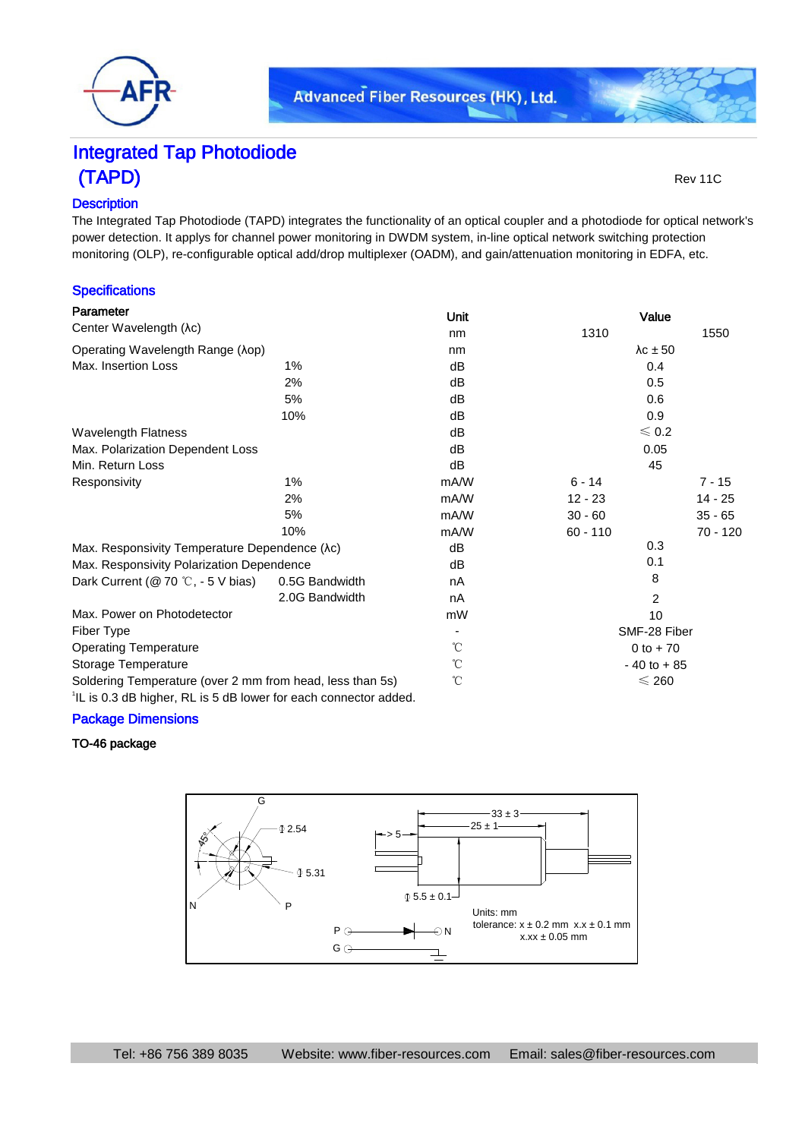

# Integrated Tap Photodiode (TAPD) Rev 11C

# **Description**

The Integrated Tap Photodiode (TAPD) integrates the functionality of an optical coupler and a photodiode for optical network's power detection. It applys for channel power monitoring in DWDM system, in-line optical network switching protection monitoring (OLP), re-configurable optical add/drop multiplexer (OADM), and gain/attenuation monitoring in EDFA, etc.

## **Specifications**

| Parameter                                                                    |                | Unit | Value              |            |
|------------------------------------------------------------------------------|----------------|------|--------------------|------------|
| Center Wavelength (λc)                                                       |                | nm   | 1310               | 1550       |
| Operating Wavelength Range (λορ)                                             |                | nm   | $\lambda c \pm 50$ |            |
| Max. Insertion Loss                                                          | 1%             | dB   | 0.4                |            |
|                                                                              | 2%             | dB   | 0.5                |            |
|                                                                              | 5%             | dB   | 0.6                |            |
|                                                                              | 10%            | dB   | 0.9                |            |
| <b>Wavelength Flatness</b>                                                   |                | dB   | $\leqslant$ 0.2    |            |
| Max. Polarization Dependent Loss                                             |                | dB   | 0.05               |            |
| Min. Return Loss                                                             |                | dB   | 45                 |            |
| Responsivity                                                                 | 1%             | mA/W | $6 - 14$           | $7 - 15$   |
|                                                                              | 2%             | mA/W | $12 - 23$          | 14 - 25    |
|                                                                              | 5%             | mA/W | $30 - 60$          | $35 - 65$  |
|                                                                              | 10%            | mA/W | $60 - 110$         | $70 - 120$ |
| Max. Responsivity Temperature Dependence (λc)                                |                | dB   | 0.3                |            |
| Max. Responsivity Polarization Dependence                                    |                | dB   | 0.1                |            |
| Dark Current ( $@$ 70 °C, - 5 V bias)                                        | 0.5G Bandwidth | nA   | 8                  |            |
|                                                                              | 2.0G Bandwidth | nA   | 2                  |            |
| Max. Power on Photodetector                                                  |                | mW   | 10                 |            |
| Fiber Type                                                                   |                |      | SMF-28 Fiber       |            |
| <b>Operating Temperature</b>                                                 |                | °C   | $0$ to $+70$       |            |
| Storage Temperature                                                          |                | °C   | $-40$ to $+85$     |            |
| Soldering Temperature (over 2 mm from head, less than 5s)                    |                | °C   | $\leqslant$ 260    |            |
| <sup>1</sup> IL is 0.3 dB higher, RL is 5 dB lower for each connector added. |                |      |                    |            |

#### Package Dimensions

# TO-46 package